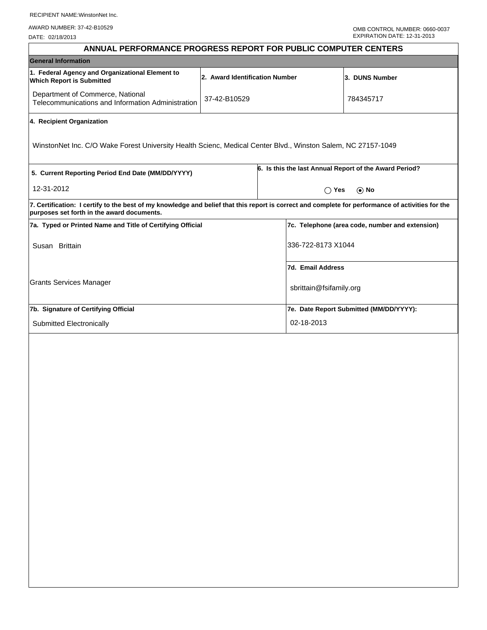AWARD NUMBER: 37-42-B10529

DATE: 02/18/2013

|                                                            |                                                   |                                                 | ANNUAL PERFORMANCE PROGRESS REPORT FOR PUBLIC COMPUTER CENTERS                                                                                                                                                                                                                                                                                               |  |  |
|------------------------------------------------------------|---------------------------------------------------|-------------------------------------------------|--------------------------------------------------------------------------------------------------------------------------------------------------------------------------------------------------------------------------------------------------------------------------------------------------------------------------------------------------------------|--|--|
|                                                            |                                                   |                                                 |                                                                                                                                                                                                                                                                                                                                                              |  |  |
|                                                            |                                                   |                                                 | 3. DUNS Number                                                                                                                                                                                                                                                                                                                                               |  |  |
| 37-42-B10529                                               |                                                   |                                                 | 784345717                                                                                                                                                                                                                                                                                                                                                    |  |  |
|                                                            |                                                   |                                                 |                                                                                                                                                                                                                                                                                                                                                              |  |  |
|                                                            |                                                   |                                                 |                                                                                                                                                                                                                                                                                                                                                              |  |  |
| 5. Current Reporting Period End Date (MM/DD/YYYY)          |                                                   |                                                 | 6. Is this the last Annual Report of the Award Period?                                                                                                                                                                                                                                                                                                       |  |  |
| 12-31-2012                                                 |                                                   |                                                 | $\bigcap$ Yes<br>$\odot$ No                                                                                                                                                                                                                                                                                                                                  |  |  |
|                                                            |                                                   |                                                 |                                                                                                                                                                                                                                                                                                                                                              |  |  |
| 7a. Typed or Printed Name and Title of Certifying Official |                                                   | 7c. Telephone (area code, number and extension) |                                                                                                                                                                                                                                                                                                                                                              |  |  |
| Susan Brittain                                             |                                                   | 336-722-8173 X1044                              |                                                                                                                                                                                                                                                                                                                                                              |  |  |
|                                                            |                                                   |                                                 |                                                                                                                                                                                                                                                                                                                                                              |  |  |
|                                                            |                                                   |                                                 |                                                                                                                                                                                                                                                                                                                                                              |  |  |
|                                                            |                                                   |                                                 |                                                                                                                                                                                                                                                                                                                                                              |  |  |
| Submitted Electronically                                   |                                                   | 02-18-2013                                      |                                                                                                                                                                                                                                                                                                                                                              |  |  |
|                                                            | Telecommunications and Information Administration | 2. Award Identification Number                  | WinstonNet Inc. C/O Wake Forest University Health Scienc, Medical Center Blvd., Winston Salem, NC 27157-1049<br>7. Certification: I certify to the best of my knowledge and belief that this report is correct and complete for performance of activities for the<br>7d. Email Address<br>sbrittain@fsifamily.org<br>7e. Date Report Submitted (MM/DD/YYYY): |  |  |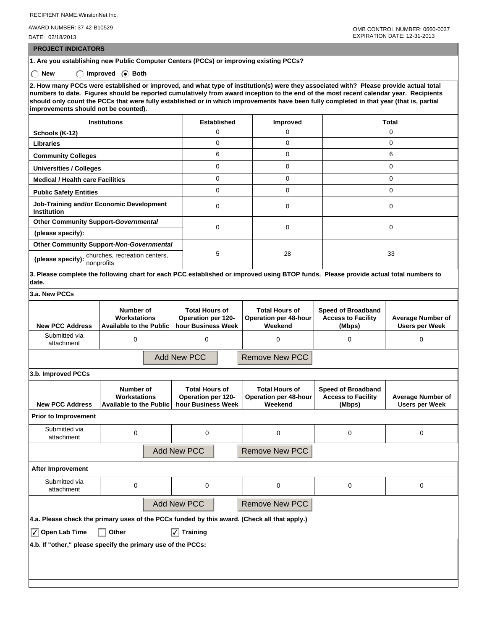AWARD NUMBER: 37-42-B10529

DATE: 02/18/2013

 **PROJECT INDICATORS**

**1. Are you establishing new Public Computer Centers (PCCs) or improving existing PCCs?** ◯ New ◯ Improved **Both** 

**2. How many PCCs were established or improved, and what type of institution(s) were they associated with? Please provide actual total numbers to date. Figures should be reported cumulatively from award inception to the end of the most recent calendar year. Recipients should only count the PCCs that were fully established or in which improvements have been fully completed in that year (that is, partial improvements should not be counted).**

| <b>Institutions</b>                                            | <b>Established</b> | Improved | Total    |  |
|----------------------------------------------------------------|--------------------|----------|----------|--|
| Schools (K-12)                                                 |                    |          | 0        |  |
| <b>Libraries</b>                                               | 0                  | 0        | 0        |  |
| <b>Community Colleges</b>                                      | 6                  | 0        | 6        |  |
| <b>Universities / Colleges</b>                                 | 0                  | 0        | 0        |  |
| <b>Medical / Health care Facilities</b>                        | 0                  |          | O        |  |
| <b>Public Safety Entities</b>                                  | 0                  |          | $\Omega$ |  |
| Job-Training and/or Economic Development<br><b>Institution</b> | 0                  | 0        | 0        |  |
| <b>Other Community Support-Governmental</b>                    | 0                  | 0        | 0        |  |
| (please specify):                                              |                    |          |          |  |
| <b>Other Community Support-Non-Governmental</b>                |                    | 28       |          |  |
| (please specify): churches, recreation centers,<br>nonprofits  | 5                  |          | 33       |  |

**3. Please complete the following chart for each PCC established or improved using BTOP funds. Please provide actual total numbers to date.**

| 3.a. New PCCs                                                                                |                                                             |                                                                          |                                                                  |                                                                  |                                                   |  |
|----------------------------------------------------------------------------------------------|-------------------------------------------------------------|--------------------------------------------------------------------------|------------------------------------------------------------------|------------------------------------------------------------------|---------------------------------------------------|--|
| <b>New PCC Address</b>                                                                       | Number of<br>Workstations<br><b>Available to the Public</b> | <b>Total Hours of</b><br><b>Operation per 120-</b><br>hour Business Week | <b>Total Hours of</b><br><b>Operation per 48-hour</b><br>Weekend | <b>Speed of Broadband</b><br><b>Access to Facility</b><br>(Mbps) | <b>Average Number of</b><br><b>Users per Week</b> |  |
| Submitted via<br>attachment                                                                  | 0                                                           | $\Omega$                                                                 | $\Omega$                                                         | $\Omega$                                                         | 0                                                 |  |
|                                                                                              |                                                             | <b>Add New PCC</b>                                                       | <b>Remove New PCC</b>                                            |                                                                  |                                                   |  |
| 3.b. Improved PCCs                                                                           |                                                             |                                                                          |                                                                  |                                                                  |                                                   |  |
| <b>New PCC Address</b>                                                                       | Number of<br>Workstations<br><b>Available to the Public</b> | <b>Total Hours of</b><br><b>Operation per 120-</b><br>hour Business Week | <b>Total Hours of</b><br><b>Operation per 48-hour</b><br>Weekend | <b>Speed of Broadband</b><br><b>Access to Facility</b><br>(Mbps) | <b>Average Number of</b><br><b>Users per Week</b> |  |
| <b>Prior to Improvement</b>                                                                  |                                                             |                                                                          |                                                                  |                                                                  |                                                   |  |
| Submitted via<br>attachment                                                                  | $\mathbf 0$                                                 | 0                                                                        | 0                                                                | 0                                                                | 0                                                 |  |
|                                                                                              | <b>Add New PCC</b><br><b>Remove New PCC</b>                 |                                                                          |                                                                  |                                                                  |                                                   |  |
| <b>After Improvement</b>                                                                     |                                                             |                                                                          |                                                                  |                                                                  |                                                   |  |
| Submitted via<br>attachment                                                                  | $\Omega$                                                    | $\Omega$                                                                 | 0                                                                | $\Omega$                                                         | $\mathbf 0$                                       |  |
|                                                                                              |                                                             | <b>Add New PCC</b>                                                       | <b>Remove New PCC</b>                                            |                                                                  |                                                   |  |
| 4.a. Please check the primary uses of the PCCs funded by this award. (Check all that apply.) |                                                             |                                                                          |                                                                  |                                                                  |                                                   |  |
| $\sqrt{\phantom{a}}$ Open Lab Time                                                           | Other                                                       | <b>Training</b>                                                          |                                                                  |                                                                  |                                                   |  |

**4.b. If "other," please specify the primary use of the PCCs:**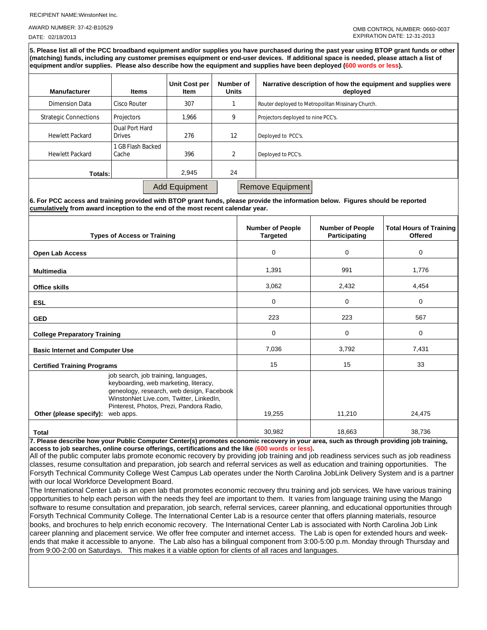AWARD NUMBER: 37-42-B10529

DATE: 02/18/2013

**5. Please list all of the PCC broadband equipment and/or supplies you have purchased during the past year using BTOP grant funds or other (matching) funds, including any customer premises equipment or end-user devices. If additional space is needed, please attach a list of equipment and/or supplies. Please also describe how the equipment and supplies have been deployed (600 words or less).**

| <b>Manufacturer</b>          | <b>Items</b>                    | Unit Cost per<br>Item | Number of<br><b>Units</b> | Narrative description of how the equipment and supplies were<br>deployed |
|------------------------------|---------------------------------|-----------------------|---------------------------|--------------------------------------------------------------------------|
| Dimension Data               | Cisco Router                    | 307                   |                           | Router deployed to Metropolitan Missinary Church.                        |
| <b>Strategic Connections</b> | Projectors                      | 1.966                 | 9                         | Projectors deployed to nine PCC's.                                       |
| <b>Hewlett Packard</b>       | Dual Port Hard<br><b>Drives</b> | 276                   | 12                        | Deployed to PCC's.                                                       |
| <b>Hewlett Packard</b>       | 1 GB Flash Backed<br>Cache      | 396                   | 2                         | Deployed to PCC's.                                                       |
| Totals:                      |                                 | 2.945                 | 24                        |                                                                          |
|                              |                                 | <b>Add Equipment</b>  |                           | <b>Remove Equipment</b>                                                  |

**6. For PCC access and training provided with BTOP grant funds, please provide the information below. Figures should be reported cumulatively from award inception to the end of the most recent calendar year.**

| <b>Types of Access or Training</b>                                                                                                                                                                                                                        | <b>Number of People</b><br><b>Targeted</b> | <b>Number of People</b><br><b>Participating</b> | <b>Total Hours of Training</b><br><b>Offered</b> |
|-----------------------------------------------------------------------------------------------------------------------------------------------------------------------------------------------------------------------------------------------------------|--------------------------------------------|-------------------------------------------------|--------------------------------------------------|
| <b>Open Lab Access</b>                                                                                                                                                                                                                                    | 0                                          | 0                                               | 0                                                |
| <b>Multimedia</b>                                                                                                                                                                                                                                         | 1,391                                      | 991                                             | 1.776                                            |
| <b>Office skills</b>                                                                                                                                                                                                                                      | 3,062                                      | 2,432                                           | 4,454                                            |
| <b>ESL</b>                                                                                                                                                                                                                                                | 0                                          | 0                                               | 0                                                |
| <b>GED</b>                                                                                                                                                                                                                                                | 223                                        | 223                                             | 567                                              |
| <b>College Preparatory Training</b>                                                                                                                                                                                                                       | 0                                          | 0                                               | 0                                                |
| <b>Basic Internet and Computer Use</b>                                                                                                                                                                                                                    | 7,036                                      | 3,792                                           | 7,431                                            |
| <b>Certified Training Programs</b>                                                                                                                                                                                                                        | 15                                         | 15                                              | 33                                               |
| job search, job training, languages,<br>keyboarding, web marketing, literacy,<br>geneology, research, web design, Facebook<br>WinstonNet Live.com, Twitter, LinkedIn,<br>Pinterest, Photos, Prezi, Pandora Radio,<br>Other (please specify):<br>web apps. | 19,255                                     | 11,210                                          | 24,475                                           |
| <b>Total</b>                                                                                                                                                                                                                                              | 30,982                                     | 18,663                                          | 38,736                                           |

**7. Please describe how your Public Computer Center(s) promotes economic recovery in your area, such as through providing job training, access to job searches, online course offerings, certifications and the like (600 words or less).**

All of the public computer labs promote economic recovery by providing job training and job readiness services such as job readiness classes, resume consultation and preparation, job search and referral services as well as education and training opportunities. The Forsyth Technical Community College West Campus Lab operates under the North Carolina JobLink Delivery System and is a partner with our local Workforce Development Board.

The International Center Lab is an open lab that promotes economic recovery thru training and job services. We have various training opportunities to help each person with the needs they feel are important to them. It varies from language training using the Mango software to resume consultation and preparation, job search, referral services, career planning, and educational opportunities through Forsyth Technical Community College. The International Center Lab is a resource center that offers planning materials, resource books, and brochures to help enrich economic recovery. The International Center Lab is associated with North Carolina Job Link career planning and placement service. We offer free computer and internet access. The Lab is open for extended hours and weekends that make it accessible to anyone. The Lab also has a bilingual component from 3:00-5:00 p.m. Monday through Thursday and from 9:00-2:00 on Saturdays. This makes it a viable option for clients of all races and languages.